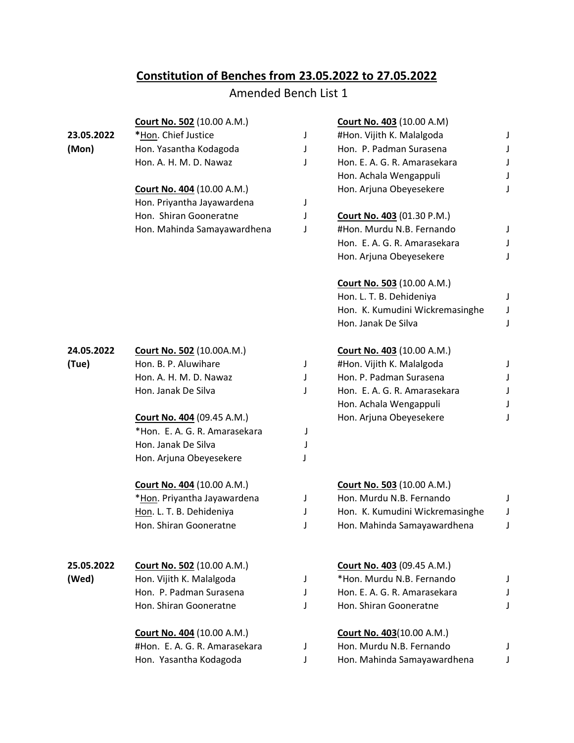## **Constitution of Benches from 23.05.2022 to 27.05.2022**

## Amended Bench List 1

|            | <b>Court No. 502 (10.00 A.M.)</b> |   | <b>Court No. 403 (10.00 A.M)</b>  |   |
|------------|-----------------------------------|---|-----------------------------------|---|
| 23.05.2022 | *Hon. Chief Justice               | J | #Hon. Vijith K. Malalgoda         | J |
| (Mon)      | Hon. Yasantha Kodagoda            | J | Hon. P. Padman Surasena           | J |
|            | Hon. A. H. M. D. Nawaz            | J | Hon. E. A. G. R. Amarasekara      | J |
|            |                                   |   | Hon. Achala Wengappuli            | J |
|            | <b>Court No. 404 (10.00 A.M.)</b> |   | Hon. Arjuna Obeyesekere           | J |
|            | Hon. Priyantha Jayawardena        | J |                                   |   |
|            | Hon. Shiran Gooneratne            | J | <b>Court No. 403 (01.30 P.M.)</b> |   |
|            | Hon. Mahinda Samayawardhena       | J | #Hon. Murdu N.B. Fernando         | J |
|            |                                   |   | Hon. E. A. G. R. Amarasekara      | J |
|            |                                   |   | Hon. Arjuna Obeyesekere           | J |
|            |                                   |   | Court No. 503 (10.00 A.M.)        |   |
|            |                                   |   | Hon. L. T. B. Dehideniya          | J |
|            |                                   |   | Hon. K. Kumudini Wickremasinghe   | J |
|            |                                   |   | Hon. Janak De Silva               | J |
| 24.05.2022 | <b>Court No. 502 (10.00A.M.)</b>  |   | Court No. 403 (10.00 A.M.)        |   |
| (Tue)      | Hon. B. P. Aluwihare              | J | #Hon. Vijith K. Malalgoda         | J |
|            | Hon. A. H. M. D. Nawaz            | J | Hon. P. Padman Surasena           | J |
|            | Hon. Janak De Silva               | J | Hon. E. A. G. R. Amarasekara      |   |
|            |                                   |   | Hon. Achala Wengappuli            | J |
|            | <b>Court No. 404 (09.45 A.M.)</b> |   | Hon. Arjuna Obeyesekere           | J |
|            | *Hon. E. A. G. R. Amarasekara     | J |                                   |   |
|            | Hon. Janak De Silva               | J |                                   |   |
|            | Hon. Arjuna Obeyesekere           |   |                                   |   |
|            | <b>Court No. 404 (10.00 A.M.)</b> |   | <b>Court No. 503 (10.00 A.M.)</b> |   |
|            | *Hon. Priyantha Jayawardena       | J | Hon. Murdu N.B. Fernando          | J |
|            | Hon. L. T. B. Dehideniya          | J | Hon. K. Kumudini Wickremasinghe   | J |
|            | Hon. Shiran Gooneratne            | J | Hon. Mahinda Samayawardhena       | J |
| 25.05.2022 | Court No. 502 (10.00 A.M.)        |   | Court No. 403 (09.45 A.M.)        |   |
| (Wed)      | Hon. Vijith K. Malalgoda          | J | *Hon. Murdu N.B. Fernando         | J |
|            | Hon. P. Padman Surasena           | J | Hon. E. A. G. R. Amarasekara      | J |
|            | Hon. Shiran Gooneratne            | J | Hon. Shiran Gooneratne            | J |
|            | Court No. 404 (10.00 A.M.)        |   | <b>Court No. 403(10.00 A.M.)</b>  |   |
|            | #Hon. E. A. G. R. Amarasekara     | J | Hon. Murdu N.B. Fernando          | J |
|            | Hon. Yasantha Kodagoda            | J | Hon. Mahinda Samayawardhena       | J |